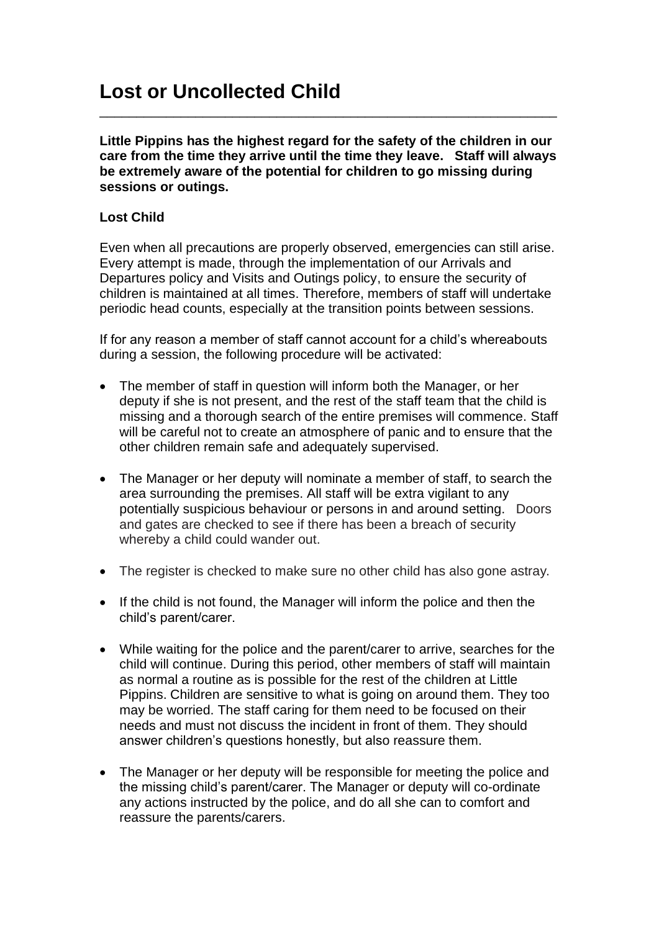## **Lost or Uncollected Child**

**Little Pippins has the highest regard for the safety of the children in our care from the time they arrive until the time they leave. Staff will always be extremely aware of the potential for children to go missing during sessions or outings.**

\_\_\_\_\_\_\_\_\_\_\_\_\_\_\_\_\_\_\_\_\_\_\_\_\_\_\_\_\_\_\_\_\_\_\_\_\_\_\_\_\_\_\_\_\_\_\_\_\_\_\_\_\_\_\_\_\_\_\_\_\_\_

## **Lost Child**

Even when all precautions are properly observed, emergencies can still arise. Every attempt is made, through the implementation of our Arrivals and Departures policy and Visits and Outings policy, to ensure the security of children is maintained at all times. Therefore, members of staff will undertake periodic head counts, especially at the transition points between sessions.

If for any reason a member of staff cannot account for a child's whereabouts during a session, the following procedure will be activated:

- The member of staff in question will inform both the Manager, or her deputy if she is not present, and the rest of the staff team that the child is missing and a thorough search of the entire premises will commence. Staff will be careful not to create an atmosphere of panic and to ensure that the other children remain safe and adequately supervised.
- The Manager or her deputy will nominate a member of staff, to search the area surrounding the premises. All staff will be extra vigilant to any potentially suspicious behaviour or persons in and around setting. Doors and gates are checked to see if there has been a breach of security whereby a child could wander out.
- The register is checked to make sure no other child has also gone astray.
- If the child is not found, the Manager will inform the police and then the child's parent/carer.
- While waiting for the police and the parent/carer to arrive, searches for the child will continue. During this period, other members of staff will maintain as normal a routine as is possible for the rest of the children at Little Pippins. Children are sensitive to what is going on around them. They too may be worried. The staff caring for them need to be focused on their needs and must not discuss the incident in front of them. They should answer children's questions honestly, but also reassure them.
- The Manager or her deputy will be responsible for meeting the police and the missing child's parent/carer. The Manager or deputy will co-ordinate any actions instructed by the police, and do all she can to comfort and reassure the parents/carers.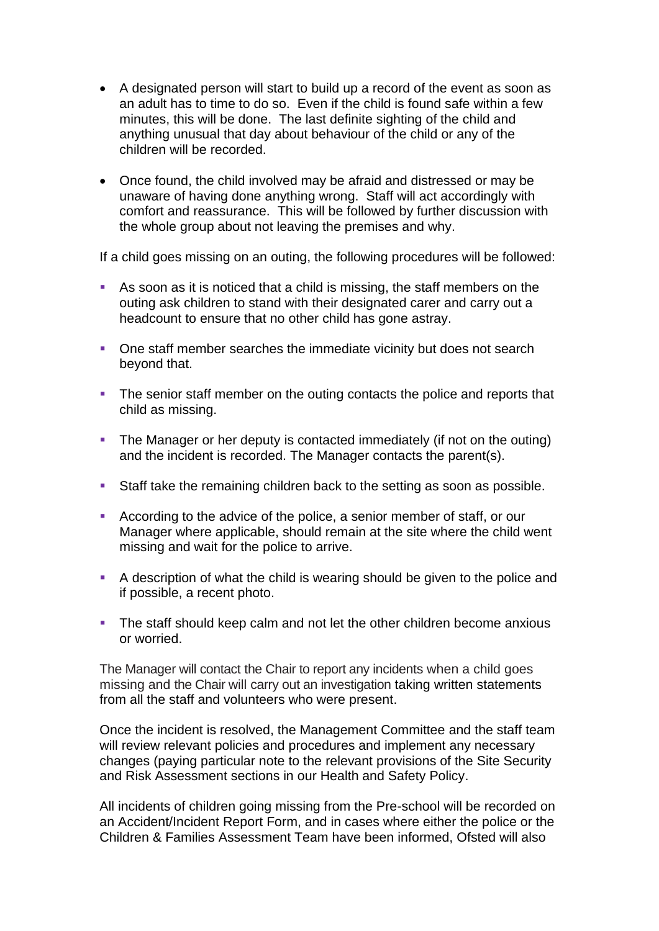- A designated person will start to build up a record of the event as soon as an adult has to time to do so. Even if the child is found safe within a few minutes, this will be done. The last definite sighting of the child and anything unusual that day about behaviour of the child or any of the children will be recorded.
- Once found, the child involved may be afraid and distressed or may be unaware of having done anything wrong. Staff will act accordingly with comfort and reassurance. This will be followed by further discussion with the whole group about not leaving the premises and why.

If a child goes missing on an outing, the following procedures will be followed:

- As soon as it is noticed that a child is missing, the staff members on the outing ask children to stand with their designated carer and carry out a headcount to ensure that no other child has gone astray.
- One staff member searches the immediate vicinity but does not search beyond that.
- **•** The senior staff member on the outing contacts the police and reports that child as missing.
- **•** The Manager or her deputy is contacted immediately (if not on the outing) and the incident is recorded. The Manager contacts the parent(s).
- Staff take the remaining children back to the setting as soon as possible.
- According to the advice of the police, a senior member of staff, or our Manager where applicable, should remain at the site where the child went missing and wait for the police to arrive.
- A description of what the child is wearing should be given to the police and if possible, a recent photo.
- **•** The staff should keep calm and not let the other children become anxious or worried.

The Manager will contact the Chair to report any incidents when a child goes missing and the Chair will carry out an investigation taking written statements from all the staff and volunteers who were present.

Once the incident is resolved, the Management Committee and the staff team will review relevant policies and procedures and implement any necessary changes (paying particular note to the relevant provisions of the Site Security and Risk Assessment sections in our Health and Safety Policy.

All incidents of children going missing from the Pre-school will be recorded on an Accident/Incident Report Form, and in cases where either the police or the Children & Families Assessment Team have been informed, Ofsted will also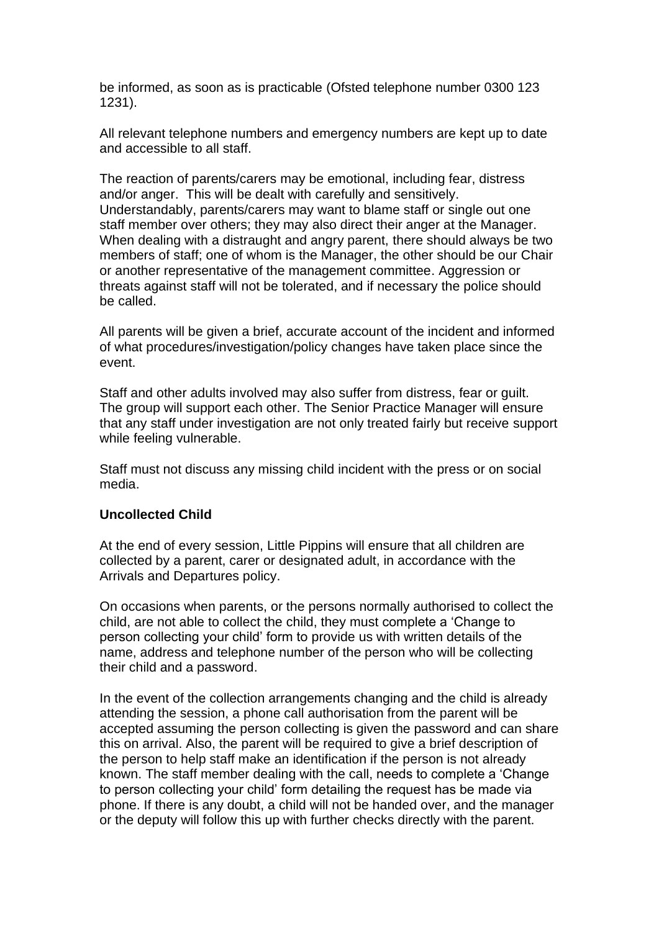be informed, as soon as is practicable (Ofsted telephone number 0300 123 1231).

All relevant telephone numbers and emergency numbers are kept up to date and accessible to all staff.

The reaction of parents/carers may be emotional, including fear, distress and/or anger. This will be dealt with carefully and sensitively. Understandably, parents/carers may want to blame staff or single out one staff member over others; they may also direct their anger at the Manager. When dealing with a distraught and angry parent, there should always be two members of staff; one of whom is the Manager, the other should be our Chair or another representative of the management committee. Aggression or threats against staff will not be tolerated, and if necessary the police should be called.

All parents will be given a brief, accurate account of the incident and informed of what procedures/investigation/policy changes have taken place since the event.

Staff and other adults involved may also suffer from distress, fear or guilt. The group will support each other. The Senior Practice Manager will ensure that any staff under investigation are not only treated fairly but receive support while feeling vulnerable.

Staff must not discuss any missing child incident with the press or on social media.

## **Uncollected Child**

At the end of every session, Little Pippins will ensure that all children are collected by a parent, carer or designated adult, in accordance with the Arrivals and Departures policy.

On occasions when parents, or the persons normally authorised to collect the child, are not able to collect the child, they must complete a 'Change to person collecting your child' form to provide us with written details of the name, address and telephone number of the person who will be collecting their child and a password.

In the event of the collection arrangements changing and the child is already attending the session, a phone call authorisation from the parent will be accepted assuming the person collecting is given the password and can share this on arrival. Also, the parent will be required to give a brief description of the person to help staff make an identification if the person is not already known. The staff member dealing with the call, needs to complete a 'Change to person collecting your child' form detailing the request has be made via phone. If there is any doubt, a child will not be handed over, and the manager or the deputy will follow this up with further checks directly with the parent.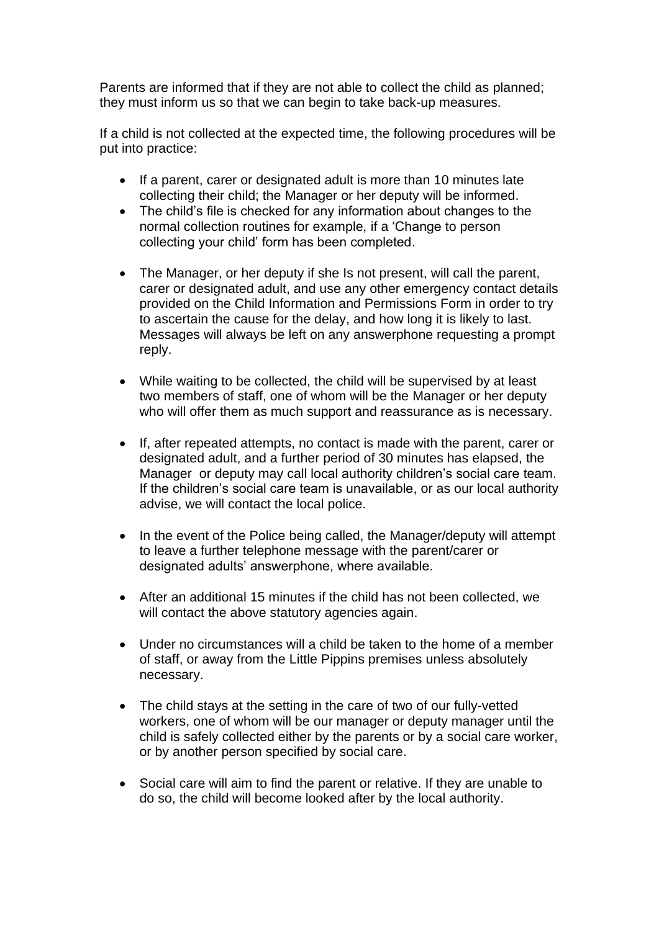Parents are informed that if they are not able to collect the child as planned; they must inform us so that we can begin to take back-up measures.

If a child is not collected at the expected time, the following procedures will be put into practice:

- If a parent, carer or designated adult is more than 10 minutes late collecting their child; the Manager or her deputy will be informed.
- The child's file is checked for any information about changes to the normal collection routines for example, if a 'Change to person collecting your child' form has been completed.
- The Manager, or her deputy if she Is not present, will call the parent, carer or designated adult, and use any other emergency contact details provided on the Child Information and Permissions Form in order to try to ascertain the cause for the delay, and how long it is likely to last. Messages will always be left on any answerphone requesting a prompt reply.
- While waiting to be collected, the child will be supervised by at least two members of staff, one of whom will be the Manager or her deputy who will offer them as much support and reassurance as is necessary.
- If, after repeated attempts, no contact is made with the parent, carer or designated adult, and a further period of 30 minutes has elapsed, the Manager or deputy may call local authority children's social care team. If the children's social care team is unavailable, or as our local authority advise, we will contact the local police.
- In the event of the Police being called, the Manager/deputy will attempt to leave a further telephone message with the parent/carer or designated adults' answerphone, where available.
- After an additional 15 minutes if the child has not been collected, we will contact the above statutory agencies again.
- Under no circumstances will a child be taken to the home of a member of staff, or away from the Little Pippins premises unless absolutely necessary.
- The child stays at the setting in the care of two of our fully-vetted workers, one of whom will be our manager or deputy manager until the child is safely collected either by the parents or by a social care worker, or by another person specified by social care.
- Social care will aim to find the parent or relative. If they are unable to do so, the child will become looked after by the local authority.